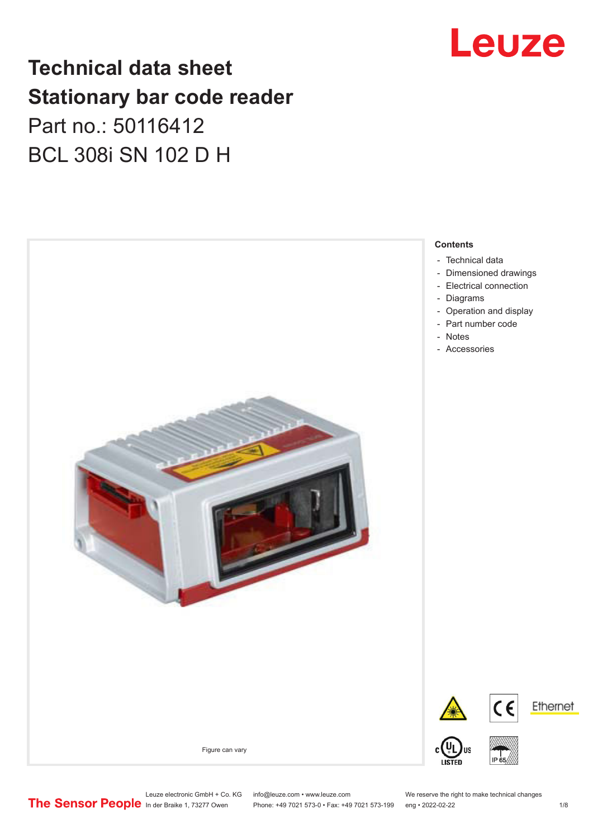## Leuze

## **Technical data sheet Stationary bar code reader** Part no.: 50116412 BCL 308i SN 102 D H



Leuze electronic GmbH + Co. KG info@leuze.com • www.leuze.com We reserve the right to make technical changes<br>
The Sensor People in der Braike 1, 73277 Owen Phone: +49 7021 573-0 • Fax: +49 7021 573-199 eng • 2022-02-22

Phone: +49 7021 573-0 • Fax: +49 7021 573-199 eng • 2022-02-22 1 /8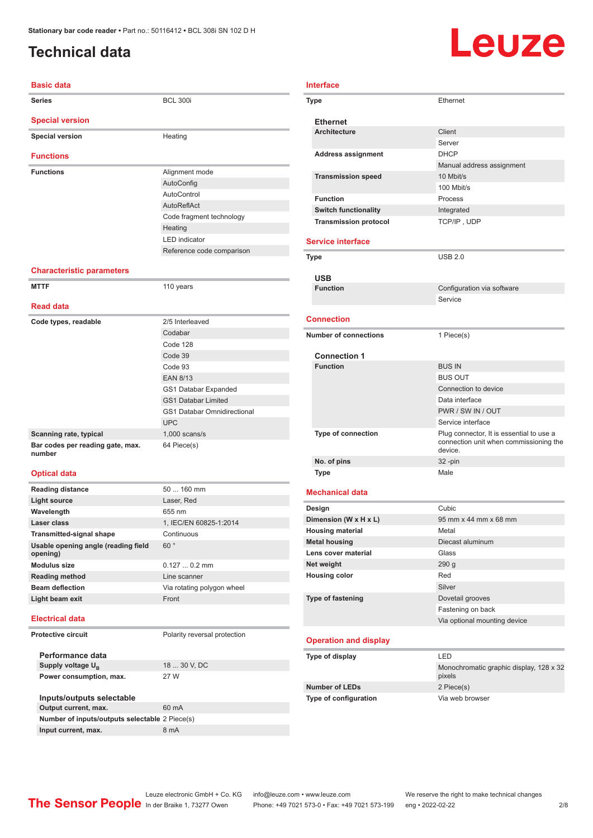### <span id="page-1-0"></span>**Technical data**

# Leuze

| <b>Basic data</b>                |                           |
|----------------------------------|---------------------------|
| <b>Series</b>                    | <b>BCL 300i</b>           |
| <b>Special version</b>           |                           |
| <b>Special version</b>           | Heating                   |
| <b>Functions</b>                 |                           |
| <b>Functions</b>                 | Alignment mode            |
|                                  | AutoConfig                |
|                                  | AutoControl               |
|                                  | AutoReflAct               |
|                                  | Code fragment technology  |
|                                  | Heating                   |
|                                  | <b>LED</b> indicator      |
|                                  | Reference code comparison |
| <b>Characteristic parameters</b> |                           |

#### **MTTF** 110 years **Read data Code types, readable** 2/5 Interleaved Codabar Code 128 Code 39 Code 93 EAN 8/13 GS1 Databar Expanded GS1 Databar Limited GS1 Databar Omnidirectional UPC **Scanning rate, typical** 1,000 scans/s **Bar codes per reading gate, max. number** 64 Piece(s)

#### **Optical data**

| <b>Reading distance</b>                         | $50160$ mm                 |
|-------------------------------------------------|----------------------------|
| Light source                                    | Laser, Red                 |
| Wavelength                                      | 655 nm                     |
| Laser class                                     | 1. IEC/EN 60825-1:2014     |
| <b>Transmitted-signal shape</b>                 | Continuous                 |
| Usable opening angle (reading field<br>opening) | 60°                        |
| <b>Modulus size</b>                             | $0.1270.2$ mm              |
| <b>Reading method</b>                           | Line scanner               |
| <b>Beam deflection</b>                          | Via rotating polygon wheel |
| Light beam exit                                 | Front                      |
|                                                 |                            |

#### **Electrical data**

#### **Protective circuit** Polarity reversal protection

**Performance data** Supply voltage  $U_B$ 

18 ... 30 V, DC **Power consumption, max.** 27 W

**Inputs/outputs selectable Output current, max.** 60 mA **Number of inputs/outputs selectable** 2 Piece(s) **Input current, max.** 8 mA

| Interface |                               |                                                                                               |
|-----------|-------------------------------|-----------------------------------------------------------------------------------------------|
|           | Type                          | Ethernet                                                                                      |
|           | <b>Ethernet</b>               |                                                                                               |
|           | <b>Architecture</b>           | Client                                                                                        |
|           |                               | Server                                                                                        |
|           | <b>Address assignment</b>     | <b>DHCP</b>                                                                                   |
|           |                               | Manual address assignment                                                                     |
|           | <b>Transmission speed</b>     | 10 Mbit/s                                                                                     |
|           |                               | 100 Mbit/s                                                                                    |
|           | <b>Function</b>               | Process                                                                                       |
|           | <b>Switch functionality</b>   | Integrated                                                                                    |
|           | <b>Transmission protocol</b>  | TCP/IP, UDP                                                                                   |
|           | <b>Service interface</b>      |                                                                                               |
|           |                               |                                                                                               |
|           | Type                          | <b>USB 2.0</b>                                                                                |
|           | <b>USB</b><br><b>Function</b> | Configuration via software                                                                    |
|           |                               | Service                                                                                       |
|           |                               |                                                                                               |
|           | <b>Connection</b>             |                                                                                               |
|           | <b>Number of connections</b>  | 1 Piece(s)                                                                                    |
|           | <b>Connection 1</b>           |                                                                                               |
|           | <b>Function</b>               | <b>BUS IN</b>                                                                                 |
|           |                               | <b>BUS OUT</b>                                                                                |
|           |                               | Connection to device                                                                          |
|           |                               | Data interface                                                                                |
|           |                               | PWR / SW IN / OUT                                                                             |
|           |                               | Service interface                                                                             |
|           | Type of connection            | Plug connector, It is essential to use a<br>connection unit when commissioning the<br>device. |
|           | No. of pins                   | 32 -pin                                                                                       |
|           | <b>Type</b>                   | Male                                                                                          |
|           | <b>Mechanical data</b>        |                                                                                               |
|           | Design                        | Cubic                                                                                         |
|           | Dimension (W x H x L)         | 95 mm x 44 mm x 68 mm                                                                         |
|           | <b>Housing material</b>       | Metal                                                                                         |
|           | <b>Metal housing</b>          | Diecast aluminum                                                                              |
|           | Lens cover material           | Glass                                                                                         |
|           | Net weight                    | 290 g                                                                                         |
|           | <b>Housing color</b>          | Red                                                                                           |
|           |                               | Silver                                                                                        |
|           | <b>Type of fastening</b>      | Dovetail grooves                                                                              |
|           |                               | Fastening on back                                                                             |
|           |                               | Via optional mounting device                                                                  |
|           |                               |                                                                                               |
|           | <b>Operation and display</b>  |                                                                                               |
|           | Type of display               | LED                                                                                           |

| Type of display              | 1 H                                               |  |
|------------------------------|---------------------------------------------------|--|
|                              | Monochromatic graphic display, 128 x 32<br>pixels |  |
| <b>Number of LEDs</b>        | 2 Piece(s)                                        |  |
| <b>Type of configuration</b> | Via web browser                                   |  |
|                              |                                                   |  |

Leuze electronic GmbH + Co. KG info@leuze.com • www.leuze.com We reserve the right to make technical changes<br>
The Sensor People in der Braike 1, 73277 Owen Phone: +49 7021 573-0 • Fax: +49 7021 573-199 eng • 2022-02-22 Phone: +49 7021 573-0 • Fax: +49 7021 573-199 eng • 2022-02-22 2 2/8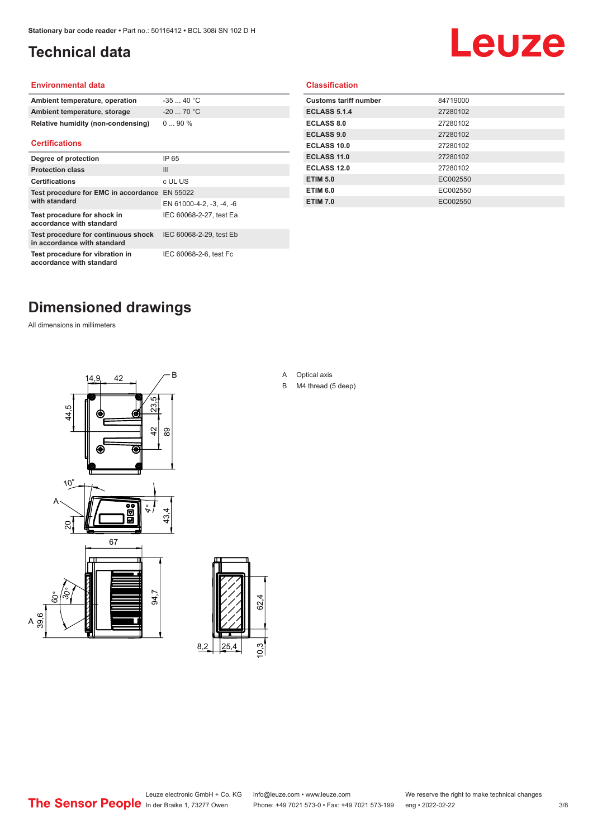### <span id="page-2-0"></span>**Technical data**

## Leuze

#### **Environmental data**

| Ambient temperature, operation     | $-3540 °C$  |
|------------------------------------|-------------|
| Ambient temperature, storage       | $-20$ 70 °C |
| Relative humidity (non-condensing) | $090\%$     |

#### **Certifications**

| Degree of protection                                               | IP 65                    |
|--------------------------------------------------------------------|--------------------------|
| <b>Protection class</b>                                            | Ш                        |
| <b>Certifications</b>                                              | c UL US                  |
| Test procedure for EMC in accordance<br>with standard              | EN 55022                 |
|                                                                    | EN 61000-4-2, -3, -4, -6 |
| Test procedure for shock in<br>accordance with standard            | IEC 60068-2-27, test Ea  |
| Test procedure for continuous shock<br>in accordance with standard | IEC 60068-2-29, test Eb  |
| Test procedure for vibration in<br>accordance with standard        | IEC 60068-2-6, test Fc   |

#### **Classification**

| <b>Customs tariff number</b> | 84719000 |
|------------------------------|----------|
| <b>ECLASS 5.1.4</b>          | 27280102 |
| <b>ECLASS 8.0</b>            | 27280102 |
| <b>ECLASS 9.0</b>            | 27280102 |
| ECLASS 10.0                  | 27280102 |
| <b>ECLASS 11.0</b>           | 27280102 |
| ECLASS 12.0                  | 27280102 |
| <b>ETIM 5.0</b>              | EC002550 |
| <b>ETIM 6.0</b>              | EC002550 |
| <b>ETIM 7.0</b>              | EC002550 |
|                              |          |

## **Dimensioned drawings**

All dimensions in millimeters





#### A Optical axis

B M4 thread (5 deep)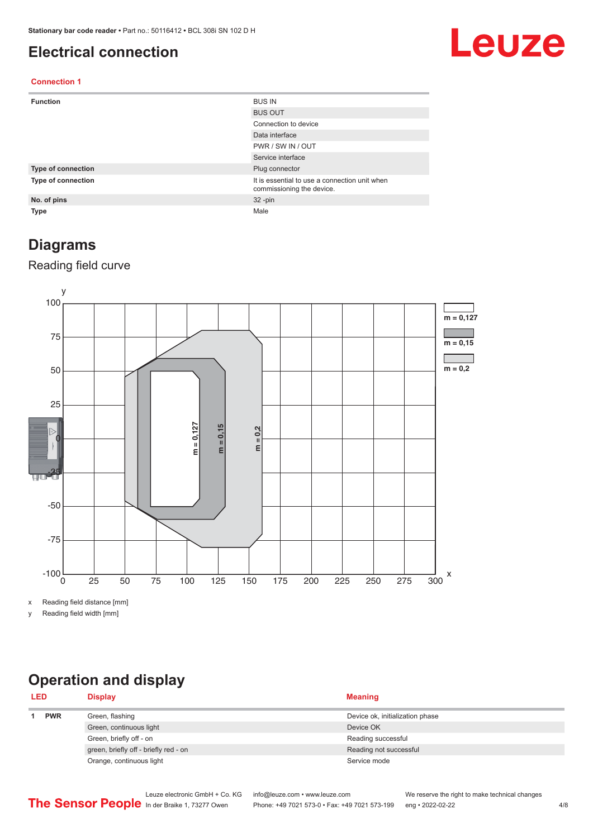#### <span id="page-3-0"></span>**Electrical connection**

## Leuze

#### **Connection 1**

| <b>Function</b>    | <b>BUS IN</b>                                                              |
|--------------------|----------------------------------------------------------------------------|
|                    | <b>BUS OUT</b>                                                             |
|                    | Connection to device                                                       |
|                    | Data interface                                                             |
|                    | PWR / SW IN / OUT                                                          |
|                    | Service interface                                                          |
| Type of connection | Plug connector                                                             |
| Type of connection | It is essential to use a connection unit when<br>commissioning the device. |
| No. of pins        | $32 - pin$                                                                 |
| Type               | Male                                                                       |

#### **Diagrams**

#### Reading field curve



x Reading field distance [mm]

y Reading field width [mm]

## **Operation and display**

| <b>LED</b> |            | <b>Display</b>                        | <b>Meaning</b>                  |
|------------|------------|---------------------------------------|---------------------------------|
|            | <b>PWR</b> | Green, flashing                       | Device ok, initialization phase |
|            |            | Green, continuous light               | Device OK                       |
|            |            | Green, briefly off - on               | Reading successful              |
|            |            | green, briefly off - briefly red - on | Reading not successful          |
|            |            | Orange, continuous light              | Service mode                    |
|            |            |                                       |                                 |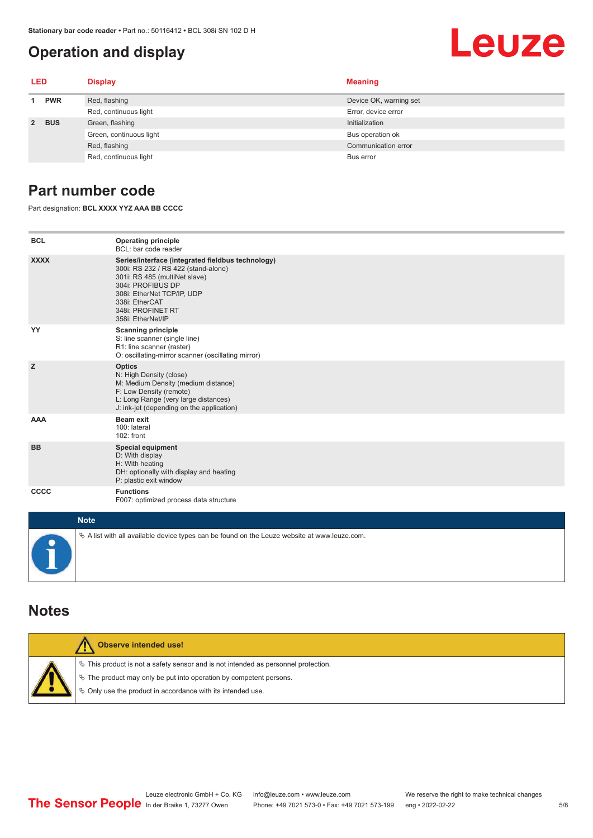#### **Operation and display**

#### <span id="page-4-0"></span>Leuze **LED Display Meaning 1 PWR** Red, flashing **Device OK, warning set** Device OK, warning set Red, continuous light Error, device error **2 BUS** Green, flashing **Initialization** Initialization Green, continuous light Bus operation of Bus operation of Bus operation of Bus operation of

#### **Part number code**

Part designation: **BCL XXXX YYZ AAA BB CCCC**

| <b>BCL</b>  | <b>Operating principle</b><br>BCL: bar code reader                                                                                                                                                                                       |
|-------------|------------------------------------------------------------------------------------------------------------------------------------------------------------------------------------------------------------------------------------------|
| <b>XXXX</b> | Series/interface (integrated fieldbus technology)<br>300i: RS 232 / RS 422 (stand-alone)<br>301i: RS 485 (multiNet slave)<br>304i: PROFIBUS DP<br>308i: EtherNet TCP/IP, UDP<br>338i: EtherCAT<br>348i: PROFINET RT<br>358i: EtherNet/IP |
| YY          | <b>Scanning principle</b><br>S: line scanner (single line)<br>R1: line scanner (raster)<br>O: oscillating-mirror scanner (oscillating mirror)                                                                                            |
| z           | <b>Optics</b><br>N: High Density (close)<br>M: Medium Density (medium distance)<br>F: Low Density (remote)<br>L: Long Range (very large distances)<br>J: ink-jet (depending on the application)                                          |
| <b>AAA</b>  | <b>Beam exit</b><br>100: lateral<br>102: front                                                                                                                                                                                           |
| <b>BB</b>   | <b>Special equipment</b><br>D: With display<br>H: With heating<br>DH: optionally with display and heating<br>P: plastic exit window                                                                                                      |
| CCCC        | <b>Functions</b><br>F007: optimized process data structure                                                                                                                                                                               |
| $M = 4.4$   |                                                                                                                                                                                                                                          |

Red, flashing Communication error communication error communication error communication error

Red, continuous light Bus error

| <b>Note</b>                                                                                  |
|----------------------------------------------------------------------------------------------|
| ∜ A list with all available device types can be found on the Leuze website at www.leuze.com. |

#### **Notes**

| Observe intended use!                                                                                                                                                                                                      |
|----------------------------------------------------------------------------------------------------------------------------------------------------------------------------------------------------------------------------|
| $\%$ This product is not a safety sensor and is not intended as personnel protection.<br>₹ The product may only be put into operation by competent persons.<br>♦ Only use the product in accordance with its intended use. |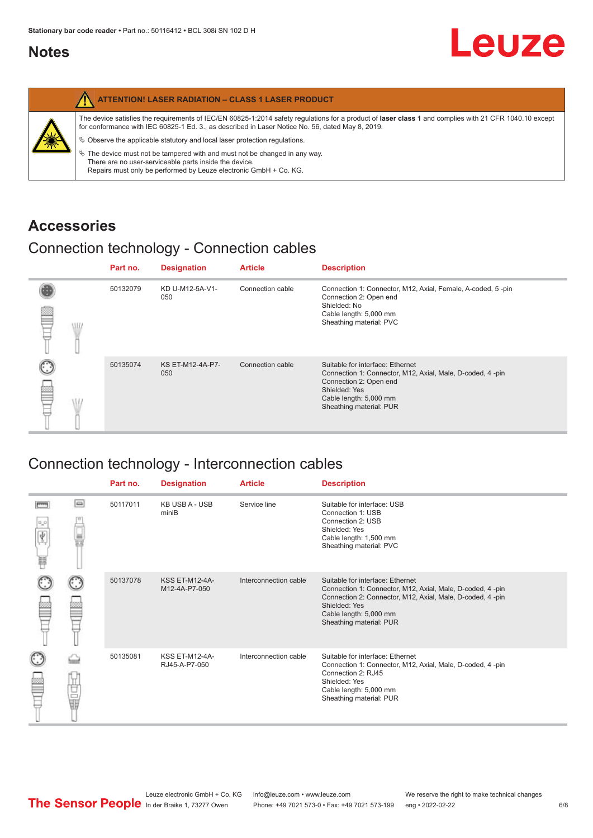#### <span id="page-5-0"></span>**Notes**

|   | <b>ATTENTION! LASER RADIATION - CLASS 1 LASER PRODUCT</b>                                                                                                                                                                                                                                                                                                                                                                                                                                                                                                   |
|---|-------------------------------------------------------------------------------------------------------------------------------------------------------------------------------------------------------------------------------------------------------------------------------------------------------------------------------------------------------------------------------------------------------------------------------------------------------------------------------------------------------------------------------------------------------------|
| 纂 | The device satisfies the requirements of IEC/EN 60825-1:2014 safety regulations for a product of laser class 1 and complies with 21 CFR 1040.10 except<br>for conformance with IEC 60825-1 Ed. 3., as described in Laser Notice No. 56, dated May 8, 2019.<br>$\%$ Observe the applicable statutory and local laser protection regulations.<br>$\%$ The device must not be tampered with and must not be changed in any way.<br>There are no user-serviceable parts inside the device.<br>Repairs must only be performed by Leuze electronic GmbH + Co. KG. |

#### **Accessories**

#### Connection technology - Connection cables

|   | Part no. | <b>Designation</b>      | <b>Article</b>   | <b>Description</b>                                                                                                                                                                            |
|---|----------|-------------------------|------------------|-----------------------------------------------------------------------------------------------------------------------------------------------------------------------------------------------|
| ≌ | 50132079 | KD U-M12-5A-V1-<br>050  | Connection cable | Connection 1: Connector, M12, Axial, Female, A-coded, 5-pin<br>Connection 2: Open end<br>Shielded: No<br>Cable length: 5,000 mm<br>Sheathing material: PVC                                    |
|   | 50135074 | KS ET-M12-4A-P7-<br>050 | Connection cable | Suitable for interface: Ethernet<br>Connection 1: Connector, M12, Axial, Male, D-coded, 4-pin<br>Connection 2: Open end<br>Shielded: Yes<br>Cable length: 5,000 mm<br>Sheathing material: PUR |

### Connection technology - Interconnection cables

|   |    | Part no. | <b>Designation</b>                     | <b>Article</b>        | <b>Description</b>                                                                                                                                                                                                               |
|---|----|----------|----------------------------------------|-----------------------|----------------------------------------------------------------------------------------------------------------------------------------------------------------------------------------------------------------------------------|
| Ħ | ▣  | 50117011 | <b>KB USB A - USB</b><br>miniB         | Service line          | Suitable for interface: USB<br>Connection 1: USB<br>Connection 2: USB<br>Shielded: Yes<br>Cable length: 1,500 mm<br>Sheathing material: PVC                                                                                      |
|   |    | 50137078 | <b>KSS ET-M12-4A-</b><br>M12-4A-P7-050 | Interconnection cable | Suitable for interface: Ethernet<br>Connection 1: Connector, M12, Axial, Male, D-coded, 4-pin<br>Connection 2: Connector, M12, Axial, Male, D-coded, 4-pin<br>Shielded: Yes<br>Cable length: 5,000 mm<br>Sheathing material: PUR |
|   | 甘量 | 50135081 | <b>KSS ET-M12-4A-</b><br>RJ45-A-P7-050 | Interconnection cable | Suitable for interface: Ethernet<br>Connection 1: Connector, M12, Axial, Male, D-coded, 4-pin<br>Connection 2: RJ45<br>Shielded: Yes<br>Cable length: 5,000 mm<br>Sheathing material: PUR                                        |

Leuze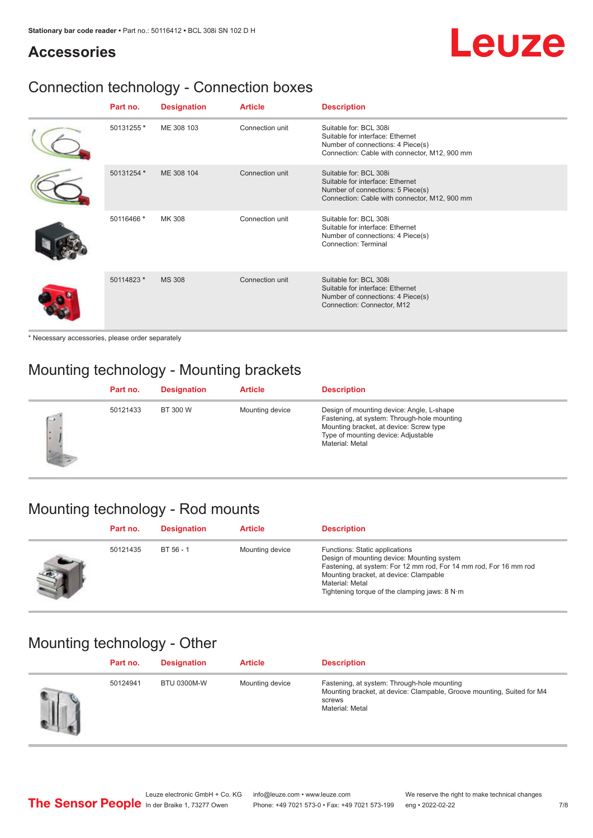## Leuze

#### **Accessories**

## Connection technology - Connection boxes

| Part no.   | <b>Designation</b> | <b>Article</b>  | <b>Description</b>                                                                                                                               |
|------------|--------------------|-----------------|--------------------------------------------------------------------------------------------------------------------------------------------------|
| 50131255 * | ME 308 103         | Connection unit | Suitable for: BCL 308i<br>Suitable for interface: Ethernet<br>Number of connections: 4 Piece(s)<br>Connection: Cable with connector, M12, 900 mm |
| 50131254 * | ME 308 104         | Connection unit | Suitable for: BCL 308i<br>Suitable for interface: Ethernet<br>Number of connections: 5 Piece(s)<br>Connection: Cable with connector, M12, 900 mm |
| 50116466 * | MK 308             | Connection unit | Suitable for: BCL 308i<br>Suitable for interface: Ethernet<br>Number of connections: 4 Piece(s)<br>Connection: Terminal                          |
| 50114823 * | <b>MS 308</b>      | Connection unit | Suitable for: BCL 308i<br>Suitable for interface: Ethernet<br>Number of connections: 4 Piece(s)<br>Connection: Connector, M12                    |

\* Necessary accessories, please order separately

### Mounting technology - Mounting brackets

|        | Part no. | <b>Designation</b> | <b>Article</b>  | <b>Description</b>                                                                                                                                                                            |
|--------|----------|--------------------|-----------------|-----------------------------------------------------------------------------------------------------------------------------------------------------------------------------------------------|
| $\sim$ | 50121433 | BT 300 W           | Mounting device | Design of mounting device: Angle, L-shape<br>Fastening, at system: Through-hole mounting<br>Mounting bracket, at device: Screw type<br>Type of mounting device: Adjustable<br>Material: Metal |

### Mounting technology - Rod mounts

| Part no. | <b>Designation</b> | <b>Article</b>  | <b>Description</b>                                                                                                                                                                                                                                                |
|----------|--------------------|-----------------|-------------------------------------------------------------------------------------------------------------------------------------------------------------------------------------------------------------------------------------------------------------------|
| 50121435 | $BT 56 - 1$        | Mounting device | Functions: Static applications<br>Design of mounting device: Mounting system<br>Fastening, at system: For 12 mm rod, For 14 mm rod, For 16 mm rod<br>Mounting bracket, at device: Clampable<br>Material: Metal<br>Tightening torque of the clamping jaws: $8 N·m$ |

### Mounting technology - Other

| Part no. | <b>Designation</b> | <b>Article</b>  | <b>Description</b>                                                                                                                                 |
|----------|--------------------|-----------------|----------------------------------------------------------------------------------------------------------------------------------------------------|
| 50124941 | <b>BTU 0300M-W</b> | Mounting device | Fastening, at system: Through-hole mounting<br>Mounting bracket, at device: Clampable, Groove mounting, Suited for M4<br>screws<br>Material: Metal |